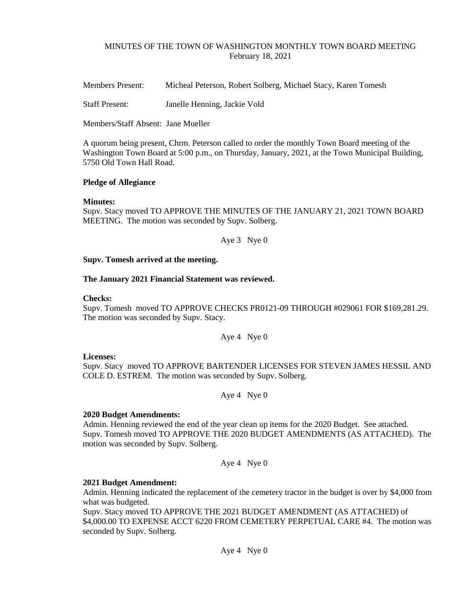# MINUTES OF THE TOWN OF WASHINGTON MONTHLY TOWN BOARD MEETING February 18, 2021

Members Present: Micheal Peterson, Robert Solberg, Michael Stacy, Karen Tomesh

Staff Present: Janelle Henning, Jackie Vold

Members/Staff Absent: Jane Mueller

A quorum being present, Chrm. Peterson called to order the monthly Town Board meeting of the Washington Town Board at 5:00 p.m., on Thursday, January, 2021, at the Town Municipal Building, 5750 Old Town Hall Road.

# **Pledge of Allegiance**

# **Minutes:**

Supv. Stacy moved TO APPROVE THE MINUTES OF THE JANUARY 21, 2021 TOWN BOARD MEETING. The motion was seconded by Supv. Solberg.

Aye 3 Nye 0

# **Supv. Tomesh arrived at the meeting.**

# **The January 2021 Financial Statement was reviewed.**

# **Checks:**

Supv. Tomesh moved TO APPROVE CHECKS PR0121-09 THROUGH #029061 FOR \$169,281.29. The motion was seconded by Supv. Stacy.

Aye 4 Nye 0

# **Licenses:**

Supv. Stacy moved TO APPROVE BARTENDER LICENSES FOR STEVEN JAMES HESSIL AND COLE D. ESTREM. The motion was seconded by Supv. Solberg.

Aye 4 Nye 0

# **2020 Budget Amendments:**

Admin. Henning reviewed the end of the year clean up items for the 2020 Budget. See attached. Supv. Tomesh moved TO APPROVE THE 2020 BUDGET AMENDMENTS (AS ATTACHED). The motion was seconded by Supv. Solberg.

Aye 4 Nye 0

# **2021 Budget Amendment:**

Admin. Henning indicated the replacement of the cemetery tractor in the budget is over by \$4,000 from what was budgeted.

Supv. Stacy moved TO APPROVE THE 2021 BUDGET AMENDMENT (AS ATTACHED) of \$4,000.00 TO EXPENSE ACCT 6220 FROM CEMETERY PERPETUAL CARE #4. The motion was seconded by Supv. Solberg.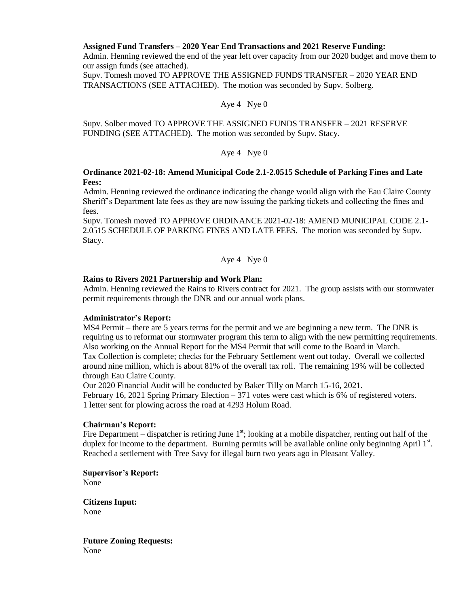# **Assigned Fund Transfers – 2020 Year End Transactions and 2021 Reserve Funding:**

Admin. Henning reviewed the end of the year left over capacity from our 2020 budget and move them to our assign funds (see attached).

Supv. Tomesh moved TO APPROVE THE ASSIGNED FUNDS TRANSFER – 2020 YEAR END TRANSACTIONS (SEE ATTACHED). The motion was seconded by Supv. Solberg.

#### Aye 4 Nye 0

Supv. Solber moved TO APPROVE THE ASSIGNED FUNDS TRANSFER – 2021 RESERVE FUNDING (SEE ATTACHED). The motion was seconded by Supv. Stacy.

# Aye 4 Nye 0

## **Ordinance 2021-02-18: Amend Municipal Code 2.1-2.0515 Schedule of Parking Fines and Late Fees:**

Admin. Henning reviewed the ordinance indicating the change would align with the Eau Claire County Sheriff's Department late fees as they are now issuing the parking tickets and collecting the fines and fees.

Supv. Tomesh moved TO APPROVE ORDINANCE 2021-02-18: AMEND MUNICIPAL CODE 2.1- 2.0515 SCHEDULE OF PARKING FINES AND LATE FEES. The motion was seconded by Supv. Stacy.

Aye 4 Nye 0

# **Rains to Rivers 2021 Partnership and Work Plan:**

Admin. Henning reviewed the Rains to Rivers contract for 2021. The group assists with our stormwater permit requirements through the DNR and our annual work plans.

#### **Administrator's Report:**

MS4 Permit – there are 5 years terms for the permit and we are beginning a new term. The DNR is requiring us to reformat our stormwater program this term to align with the new permitting requirements. Also working on the Annual Report for the MS4 Permit that will come to the Board in March. Tax Collection is complete; checks for the February Settlement went out today. Overall we collected around nine million, which is about 81% of the overall tax roll. The remaining 19% will be collected through Eau Claire County.

Our 2020 Financial Audit will be conducted by Baker Tilly on March 15-16, 2021. February 16, 2021 Spring Primary Election – 371 votes were cast which is 6% of registered voters. 1 letter sent for plowing across the road at 4293 Holum Road.

#### **Chairman's Report:**

Fire Department – dispatcher is retiring June  $1<sup>st</sup>$ ; looking at a mobile dispatcher, renting out half of the duplex for income to the department. Burning permits will be available online only beginning April  $1<sup>st</sup>$ . Reached a settlement with Tree Savy for illegal burn two years ago in Pleasant Valley.

**Supervisor's Report:**  None

**Citizens Input:** None

**Future Zoning Requests:**  None